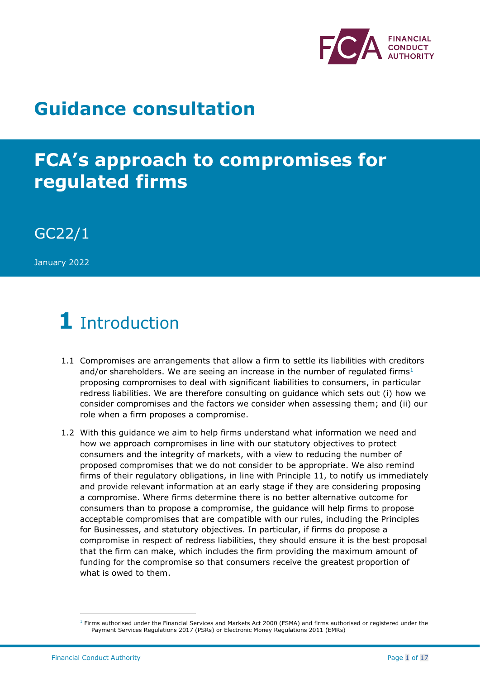

## **Guidance consultation**

# **FCA's approach to compromises for regulated firms**

GC22/1

January 2022

# **1** Introduction

- 1.1 Compromises are arrangements that allow a firm to settle its liabilities with creditors and/or shareholders. We are seeing an increase in the number of regulated firms<sup>1</sup> proposing compromises to deal with significant liabilities to consumers, in particular redress liabilities. We are therefore consulting on guidance which sets out (i) how we consider compromises and the factors we consider when assessing them; and (ii) our role when a firm proposes a compromise.
- 1.2 With this guidance we aim to help firms understand what information we need and how we approach compromises in line with our statutory objectives to protect consumers and the integrity of markets, with a view to reducing the number of proposed compromises that we do not consider to be appropriate. We also remind firms of their regulatory obligations, in line with Principle 11, to notify us immediately and provide relevant information at an early stage if they are considering proposing a compromise. Where firms determine there is no better alternative outcome for consumers than to propose a compromise, the guidance will help firms to propose acceptable compromises that are compatible with our rules, including the Principles for Businesses, and statutory objectives. In particular, if firms do propose a compromise in respect of redress liabilities, they should ensure it is the best proposal that the firm can make, which includes the firm providing the maximum amount of funding for the compromise so that consumers receive the greatest proportion of what is owed to them.

 $1$  Firms authorised under the Financial Services and Markets Act 2000 (FSMA) and firms authorised or registered under the Payment Services Regulations 2017 (PSRs) or Electronic Money Regulations 2011 (EMRs)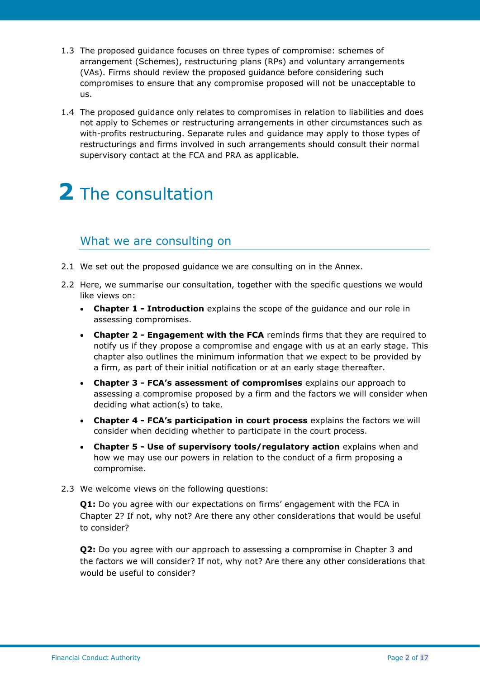- 1.3 The proposed guidance focuses on three types of compromise: schemes of arrangement (Schemes), restructuring plans (RPs) and voluntary arrangements (VAs). Firms should review the proposed guidance before considering such compromises to ensure that any compromise proposed will not be unacceptable to us.
- 1.4 The proposed guidance only relates to compromises in relation to liabilities and does not apply to Schemes or restructuring arrangements in other circumstances such as with-profits restructuring. Separate rules and guidance may apply to those types of restructurings and firms involved in such arrangements should consult their normal supervisory contact at the FCA and PRA as applicable.

# **2** The consultation

### What we are consulting on

- 2.1 We set out the proposed guidance we are consulting on in the Annex.
- 2.2 Here, we summarise our consultation, together with the specific questions we would like views on:
	- **Chapter 1 - Introduction** explains the scope of the guidance and our role in assessing compromises.
	- **Chapter 2 - Engagement with the FCA** reminds firms that they are required to notify us if they propose a compromise and engage with us at an early stage. This chapter also outlines the minimum information that we expect to be provided by a firm, as part of their initial notification or at an early stage thereafter.
	- **Chapter 3 - FCA's assessment of compromises** explains our approach to assessing a compromise proposed by a firm and the factors we will consider when deciding what action(s) to take.
	- **Chapter 4 - FCA's participation in court process** explains the factors we will consider when deciding whether to participate in the court process.
	- **Chapter 5 - Use of supervisory tools/regulatory action** explains when and how we may use our powers in relation to the conduct of a firm proposing a compromise.
- 2.3 We welcome views on the following questions:

**Q1:** Do you agree with our expectations on firms' engagement with the FCA in Chapter 2? If not, why not? Are there any other considerations that would be useful to consider?

**Q2:** Do you agree with our approach to assessing a compromise in Chapter 3 and the factors we will consider? If not, why not? Are there any other considerations that would be useful to consider?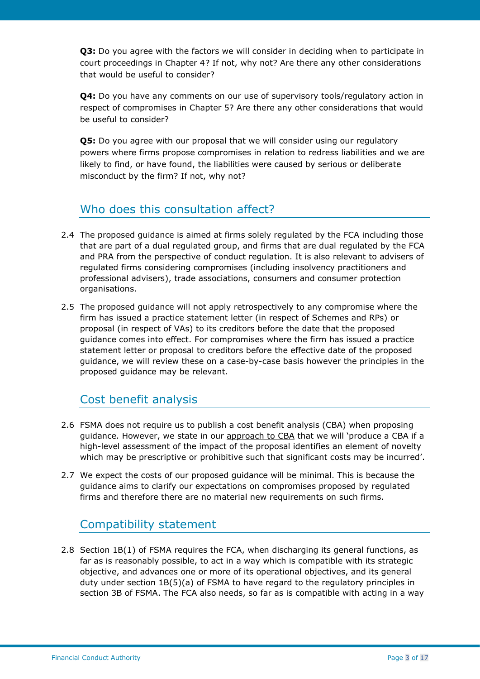**Q3:** Do you agree with the factors we will consider in deciding when to participate in court proceedings in Chapter 4? If not, why not? Are there any other considerations that would be useful to consider?

**Q4:** Do you have any comments on our use of supervisory tools/regulatory action in respect of compromises in Chapter 5? Are there any other considerations that would be useful to consider?

**Q5:** Do you agree with our proposal that we will consider using our regulatory powers where firms propose compromises in relation to redress liabilities and we are likely to find, or have found, the liabilities were caused by serious or deliberate misconduct by the firm? If not, why not?

## Who does this consultation affect?

- 2.4 The proposed guidance is aimed at firms solely regulated by the FCA including those that are part of a dual regulated group, and firms that are dual regulated by the FCA and PRA from the perspective of conduct regulation. It is also relevant to advisers of regulated firms considering compromises (including insolvency practitioners and professional advisers), trade associations, consumers and consumer protection organisations.
- 2.5 The proposed guidance will not apply retrospectively to any compromise where the firm has issued a practice statement letter (in respect of Schemes and RPs) or proposal (in respect of VAs) to its creditors before the date that the proposed guidance comes into effect. For compromises where the firm has issued a practice statement letter or proposal to creditors before the effective date of the proposed guidance, we will review these on a case-by-case basis however the principles in the proposed guidance may be relevant.

## Cost benefit analysis

- 2.6 FSMA does not require us to publish a cost benefit analysis (CBA) when proposing guidance. However, we state in our [approach to CBA](https://www.fca.org.uk/publication/corporate/how-analyse-costs-benefits-policies.pdf) that we will 'produce a CBA if a high-level assessment of the impact of the proposal identifies an element of novelty which may be prescriptive or prohibitive such that significant costs may be incurred'.
- 2.7 We expect the costs of our proposed guidance will be minimal. This is because the guidance aims to clarify our expectations on compromises proposed by regulated firms and therefore there are no material new requirements on such firms.

## Compatibility statement

2.8 Section 1B(1) of FSMA requires the FCA, when discharging its general functions, as far as is reasonably possible, to act in a way which is compatible with its strategic objective, and advances one or more of its operational objectives, and its general duty under section 1B(5)(a) of FSMA to have regard to the regulatory principles in section 3B of FSMA. The FCA also needs, so far as is compatible with acting in a way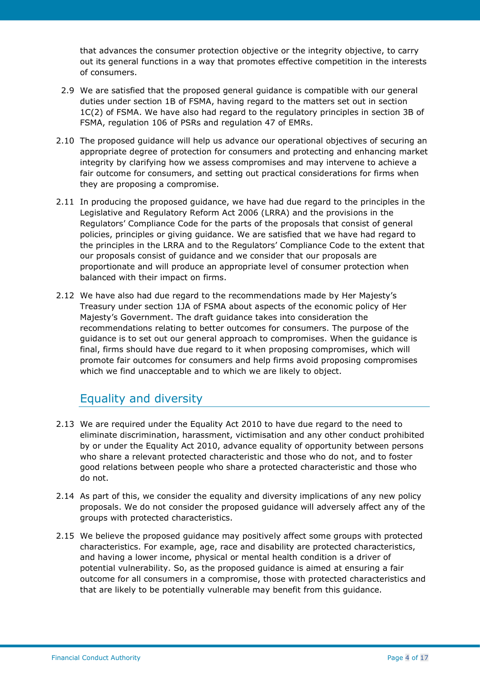that advances the consumer protection objective or the integrity objective, to carry out its general functions in a way that promotes effective competition in the interests of consumers.

- 2.9 We are satisfied that the proposed general guidance is compatible with our general duties under section 1B of FSMA, having regard to the matters set out in section 1C(2) of FSMA. We have also had regard to the regulatory principles in section 3B of FSMA, regulation 106 of PSRs and regulation 47 of EMRs.
- 2.10 The proposed guidance will help us advance our operational objectives of securing an appropriate degree of protection for consumers and protecting and enhancing market integrity by clarifying how we assess compromises and may intervene to achieve a fair outcome for consumers, and setting out practical considerations for firms when they are proposing a compromise.
- 2.11 In producing the proposed guidance, we have had due regard to the principles in the Legislative and Regulatory Reform Act 2006 (LRRA) and the provisions in the Regulators' Compliance Code for the parts of the proposals that consist of general policies, principles or giving guidance. We are satisfied that we have had regard to the principles in the LRRA and to the Regulators' Compliance Code to the extent that our proposals consist of guidance and we consider that our proposals are proportionate and will produce an appropriate level of consumer protection when balanced with their impact on firms.
- 2.12 We have also had due regard to the recommendations made by Her Majesty's Treasury under section 1JA of FSMA about aspects of the economic policy of Her Majesty's Government. The draft guidance takes into consideration the recommendations relating to better outcomes for consumers. The purpose of the guidance is to set out our general approach to compromises. When the guidance is final, firms should have due regard to it when proposing compromises, which will promote fair outcomes for consumers and help firms avoid proposing compromises which we find unacceptable and to which we are likely to object.

## Equality and diversity

- 2.13 We are required under the Equality Act 2010 to have due regard to the need to eliminate discrimination, harassment, victimisation and any other conduct prohibited by or under the Equality Act 2010, advance equality of opportunity between persons who share a relevant protected characteristic and those who do not, and to foster good relations between people who share a protected characteristic and those who do not.
- 2.14 As part of this, we consider the equality and diversity implications of any new policy proposals. We do not consider the proposed guidance will adversely affect any of the groups with protected characteristics.
- 2.15 We believe the proposed guidance may positively affect some groups with protected characteristics. For example, age, race and disability are protected characteristics, and having a lower income, physical or mental health condition is a driver of potential vulnerability. So, as the proposed guidance is aimed at ensuring a fair outcome for all consumers in a compromise, those with protected characteristics and that are likely to be potentially vulnerable may benefit from this guidance.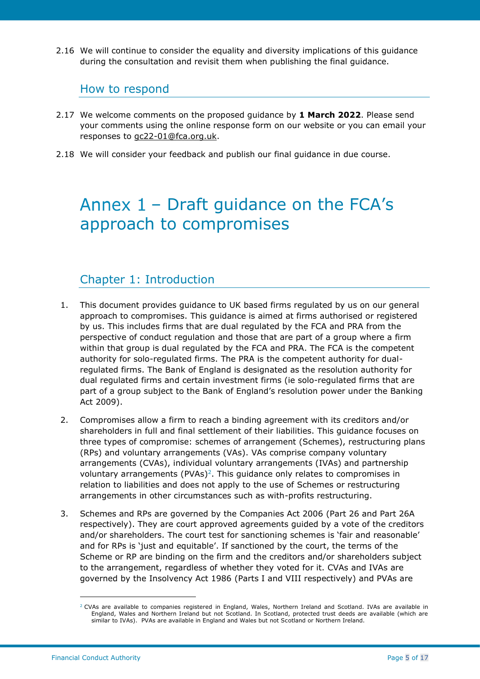2.16 We will continue to consider the equality and diversity implications of this guidance during the consultation and revisit them when publishing the final guidance.

#### How to respond

- 2.17 We welcome comments on the proposed guidance by **1 March 2022**. Please send your comments using the online response form on our website or you can email your responses to [gc22-01@fca.org.uk.](mailto:gc22-01@fca.org.uk)
- 2.18 We will consider your feedback and publish our final guidance in due course.

## Annex  $1$  – Draft guidance on the FCA's approach to compromises

## Chapter 1: Introduction

- 1. This document provides guidance to UK based firms regulated by us on our general approach to compromises. This guidance is aimed at firms authorised or registered by us. This includes firms that are dual regulated by the FCA and PRA from the perspective of conduct regulation and those that are part of a group where a firm within that group is dual regulated by the FCA and PRA. The FCA is the competent authority for solo-regulated firms. The PRA is the competent authority for dualregulated firms. The Bank of England is designated as the resolution authority for dual regulated firms and certain investment firms (ie solo-regulated firms that are part of a group subject to the Bank of England's resolution power under the Banking Act 2009).
- 2. Compromises allow a firm to reach a binding agreement with its creditors and/or shareholders in full and final settlement of their liabilities. This guidance focuses on three types of compromise: schemes of arrangement (Schemes), restructuring plans (RPs) and voluntary arrangements (VAs). VAs comprise company voluntary arrangements (CVAs), individual voluntary arrangements (IVAs) and partnership voluntary arrangements (PVAs)<sup>2</sup>. This guidance only relates to compromises in relation to liabilities and does not apply to the use of Schemes or restructuring arrangements in other circumstances such as with-profits restructuring.
- 3. Schemes and RPs are governed by the Companies Act 2006 (Part 26 and Part 26A respectively). They are court approved agreements guided by a vote of the creditors and/or shareholders. The court test for sanctioning schemes is 'fair and reasonable' and for RPs is 'just and equitable'. If sanctioned by the court, the terms of the Scheme or RP are binding on the firm and the creditors and/or shareholders subject to the arrangement, regardless of whether they voted for it. CVAs and IVAs are governed by the Insolvency Act 1986 (Parts I and VIII respectively) and PVAs are

 $2$  CVAs are available to companies registered in England, Wales, Northern Ireland and Scotland. IVAs are available in England, Wales and Northern Ireland but not Scotland. In Scotland, protected trust deeds are available (which are similar to IVAs). PVAs are available in England and Wales but not Scotland or Northern Ireland.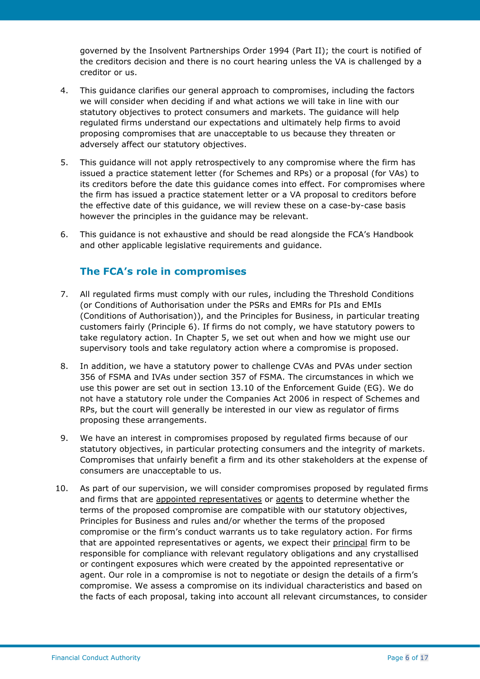governed by the Insolvent Partnerships Order 1994 (Part II); the court is notified of the creditors decision and there is no court hearing unless the VA is challenged by a creditor or us.

- 4. This guidance clarifies our general approach to compromises, including the factors we will consider when deciding if and what actions we will take in line with our statutory objectives to protect consumers and markets. The guidance will help regulated firms understand our expectations and ultimately help firms to avoid proposing compromises that are unacceptable to us because they threaten or adversely affect our statutory objectives.
- 5. This guidance will not apply retrospectively to any compromise where the firm has issued a practice statement letter (for Schemes and RPs) or a proposal (for VAs) to its creditors before the date this guidance comes into effect. For compromises where the firm has issued a practice statement letter or a VA proposal to creditors before the effective date of this guidance, we will review these on a case-by-case basis however the principles in the guidance may be relevant.
- 6. This guidance is not exhaustive and should be read alongside the FCA's Handbook and other applicable legislative requirements and guidance.

#### **The FCA's role in compromises**

- 7. All regulated firms must comply with our rules, including the Threshold Conditions (or Conditions of Authorisation under the PSRs and EMRs for PIs and EMIs (Conditions of Authorisation)), and the Principles for Business, in particular treating customers fairly (Principle 6). If firms do not comply, we have statutory powers to take regulatory action. In Chapter 5, we set out when and how we might use our supervisory tools and take regulatory action where a compromise is proposed.
- 8. In addition, we have a statutory power to challenge CVAs and PVAs under section 356 of FSMA and IVAs under section 357 of FSMA. The circumstances in which we use this power are set out in section 13.10 of the Enforcement Guide (EG). We do not have a statutory role under the Companies Act 2006 in respect of Schemes and RPs, but the court will generally be interested in our view as regulator of firms proposing these arrangements.
- 9. We have an interest in compromises proposed by regulated firms because of our statutory objectives, in particular protecting consumers and the integrity of markets. Compromises that unfairly benefit a firm and its other stakeholders at the expense of consumers are unacceptable to us.
- 10. As part of our supervision, we will consider compromises proposed by regulated firms and firms that are [appointed representatives](https://www.handbook.fca.org.uk/handbook/glossary/G1659.html?filter-title=appointed%20representative) or [agents](https://www.handbook.fca.org.uk/handbook/glossary/G2611.html?filter-title=agent) to determine whether the terms of the proposed compromise are compatible with our statutory objectives, Principles for Business and rules and/or whether the terms of the proposed compromise or the firm's conduct warrants us to take regulatory action. For firms that are appointed representatives or agents, we expect their [principal](https://www.handbook.fca.org.uk/handbook/glossary/G909.html?filter-title=principal) firm to be responsible for compliance with relevant regulatory obligations and any crystallised or contingent exposures which were created by the appointed representative or agent. Our role in a compromise is not to negotiate or design the details of a firm's compromise. We assess a compromise on its individual characteristics and based on the facts of each proposal, taking into account all relevant circumstances, to consider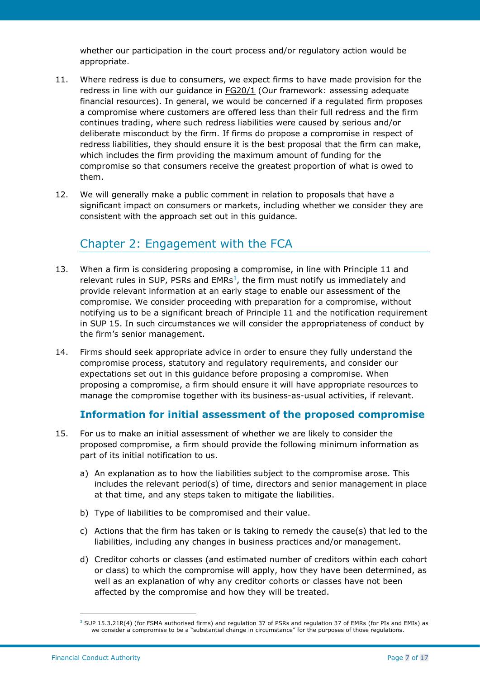whether our participation in the court process and/or regulatory action would be appropriate.

- 11. Where redress is due to consumers, we expect firms to have made provision for the redress in line with our guidance in **FG20/1** (Our framework: assessing adequate financial resources). In general, we would be concerned if a regulated firm proposes a compromise where customers are offered less than their full redress and the firm continues trading, where such redress liabilities were caused by serious and/or deliberate misconduct by the firm. If firms do propose a compromise in respect of redress liabilities, they should ensure it is the best proposal that the firm can make, which includes the firm providing the maximum amount of funding for the compromise so that consumers receive the greatest proportion of what is owed to them.
- 12. We will generally make a public comment in relation to proposals that have a significant impact on consumers or markets, including whether we consider they are consistent with the approach set out in this guidance.

## Chapter 2: Engagement with the FCA

- 13. When a firm is considering proposing a compromise, in line with Principle 11 and relevant rules in SUP, PSRs and  $EMRs<sup>3</sup>$ , the firm must notify us immediately and provide relevant information at an early stage to enable our assessment of the compromise. We consider proceeding with preparation for a compromise, without notifying us to be a significant breach of Principle 11 and the notification requirement in SUP 15. In such circumstances we will consider the appropriateness of conduct by the firm's senior management.
- 14. Firms should seek appropriate advice in order to ensure they fully understand the compromise process, statutory and regulatory requirements, and consider our expectations set out in this guidance before proposing a compromise. When proposing a compromise, a firm should ensure it will have appropriate resources to manage the compromise together with its business-as-usual activities, if relevant.

#### **Information for initial assessment of the proposed compromise**

- 15. For us to make an initial assessment of whether we are likely to consider the proposed compromise, a firm should provide the following minimum information as part of its initial notification to us.
	- a) An explanation as to how the liabilities subject to the compromise arose. This includes the relevant period(s) of time, directors and senior management in place at that time, and any steps taken to mitigate the liabilities.
	- b) Type of liabilities to be compromised and their value.
	- c) Actions that the firm has taken or is taking to remedy the cause(s) that led to the liabilities, including any changes in business practices and/or management.
	- d) Creditor cohorts or classes (and estimated number of creditors within each cohort or class) to which the compromise will apply, how they have been determined, as well as an explanation of why any creditor cohorts or classes have not been affected by the compromise and how they will be treated.

<sup>&</sup>lt;sup>3</sup> SUP 15.3.21R(4) (for FSMA authorised firms) and regulation 37 of PSRs and regulation 37 of EMRs (for PIs and EMIs) as we consider a compromise to be a "substantial change in circumstance" for the purposes of those regulations.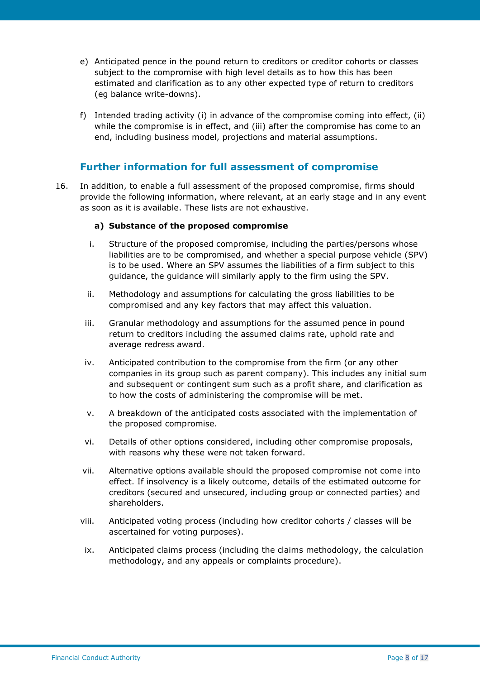- e) Anticipated pence in the pound return to creditors or creditor cohorts or classes subject to the compromise with high level details as to how this has been estimated and clarification as to any other expected type of return to creditors (eg balance write-downs).
- f) Intended trading activity (i) in advance of the compromise coming into effect, (ii) while the compromise is in effect, and (iii) after the compromise has come to an end, including business model, projections and material assumptions.

#### **Further information for full assessment of compromise**

16. In addition, to enable a full assessment of the proposed compromise, firms should provide the following information, where relevant, at an early stage and in any event as soon as it is available. These lists are not exhaustive.

#### **a) Substance of the proposed compromise**

- i. Structure of the proposed compromise, including the parties/persons whose liabilities are to be compromised, and whether a special purpose vehicle (SPV) is to be used. Where an SPV assumes the liabilities of a firm subject to this guidance, the guidance will similarly apply to the firm using the SPV.
- ii. Methodology and assumptions for calculating the gross liabilities to be compromised and any key factors that may affect this valuation.
- iii. Granular methodology and assumptions for the assumed pence in pound return to creditors including the assumed claims rate, uphold rate and average redress award.
- iv. Anticipated contribution to the compromise from the firm (or any other companies in its group such as parent company). This includes any initial sum and subsequent or contingent sum such as a profit share, and clarification as to how the costs of administering the compromise will be met.
- v. A breakdown of the anticipated costs associated with the implementation of the proposed compromise.
- vi. Details of other options considered, including other compromise proposals, with reasons why these were not taken forward.
- vii. Alternative options available should the proposed compromise not come into effect. If insolvency is a likely outcome, details of the estimated outcome for creditors (secured and unsecured, including group or connected parties) and shareholders.
- viii. Anticipated voting process (including how creditor cohorts / classes will be ascertained for voting purposes).
- ix. Anticipated claims process (including the claims methodology, the calculation methodology, and any appeals or complaints procedure).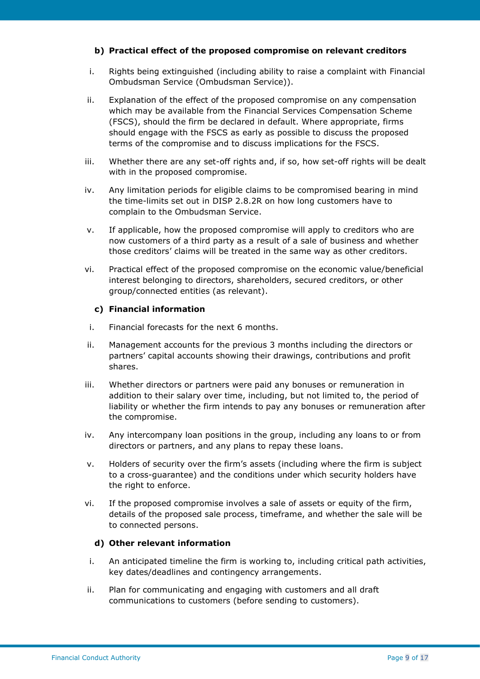#### **b) Practical effect of the proposed compromise on relevant creditors**

- i. Rights being extinguished (including ability to raise a complaint with Financial Ombudsman Service (Ombudsman Service)).
- ii. Explanation of the effect of the proposed compromise on any compensation which may be available from the Financial Services Compensation Scheme (FSCS), should the firm be declared in default. Where appropriate, firms should engage with the FSCS as early as possible to discuss the proposed terms of the compromise and to discuss implications for the FSCS.
- iii. Whether there are any set-off rights and, if so, how set-off rights will be dealt with in the proposed compromise.
- iv. Any limitation periods for eligible claims to be compromised bearing in mind the time-limits set out in DISP 2.8.2R on how long customers have to complain to the Ombudsman Service.
- v. If applicable, how the proposed compromise will apply to creditors who are now customers of a third party as a result of a sale of business and whether those creditors' claims will be treated in the same way as other creditors.
- vi. Practical effect of the proposed compromise on the economic value/beneficial interest belonging to directors, shareholders, secured creditors, or other group/connected entities (as relevant).

#### **c) Financial information**

- i. Financial forecasts for the next 6 months.
- ii. Management accounts for the previous 3 months including the directors or partners' capital accounts showing their drawings, contributions and profit shares.
- iii. Whether directors or partners were paid any bonuses or remuneration in addition to their salary over time, including, but not limited to, the period of liability or whether the firm intends to pay any bonuses or remuneration after the compromise.
- iv. Any intercompany loan positions in the group, including any loans to or from directors or partners, and any plans to repay these loans.
- v. Holders of security over the firm's assets (including where the firm is subject to a cross-guarantee) and the conditions under which security holders have the right to enforce.
- vi. If the proposed compromise involves a sale of assets or equity of the firm, details of the proposed sale process, timeframe, and whether the sale will be to connected persons.

#### **d) Other relevant information**

- i. An anticipated timeline the firm is working to, including critical path activities, key dates/deadlines and contingency arrangements.
- ii. Plan for communicating and engaging with customers and all draft communications to customers (before sending to customers).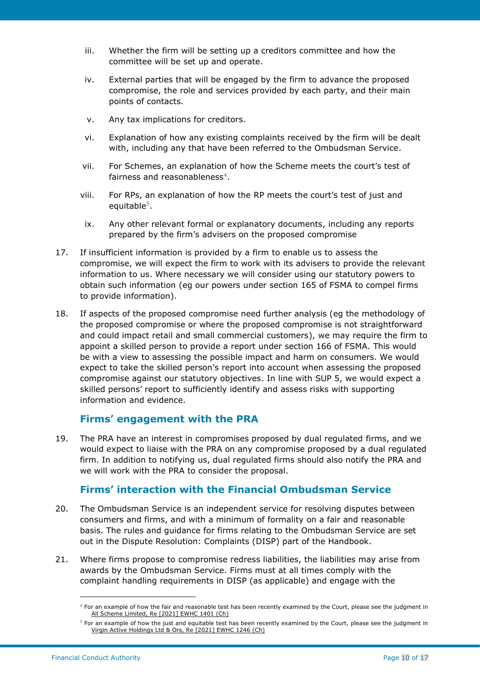- iii. Whether the firm will be setting up a creditors committee and how the committee will be set up and operate.
- iv. External parties that will be engaged by the firm to advance the proposed compromise, the role and services provided by each party, and their main points of contacts.
- v. Any tax implications for creditors.
- vi. Explanation of how any existing complaints received by the firm will be dealt with, including any that have been referred to the Ombudsman Service.
- vii. For Schemes, an explanation of how the Scheme meets the court's test of fairness and reasonableness<sup>4</sup>.
- viii. For RPs, an explanation of how the RP meets the court's test of just and equitable<sup>5</sup>.
- ix. Any other relevant formal or explanatory documents, including any reports prepared by the firm's advisers on the proposed compromise
- 17. If insufficient information is provided by a firm to enable us to assess the compromise, we will expect the firm to work with its advisers to provide the relevant information to us. Where necessary we will consider using our statutory powers to obtain such information (eg our powers under section 165 of FSMA to compel firms to provide information).
- 18. If aspects of the proposed compromise need further analysis (eg the methodology of the proposed compromise or where the proposed compromise is not straightforward and could impact retail and small commercial customers), we may require the firm to appoint a skilled person to provide a report under section 166 of FSMA. This would be with a view to assessing the possible impact and harm on consumers. We would expect to take the skilled person's report into account when assessing the proposed compromise against our statutory objectives. In line with SUP 5, we would expect a skilled persons' report to sufficiently identify and assess risks with supporting information and evidence.

#### **Firms' engagement with the PRA**

19. The PRA have an interest in compromises proposed by dual regulated firms, and we would expect to liaise with the PRA on any compromise proposed by a dual regulated firm. In addition to notifying us, dual regulated firms should also notify the PRA and we will work with the PRA to consider the proposal.

#### **Firms' interaction with the Financial Ombudsman Service**

- 20. The Ombudsman Service is an independent service for resolving disputes between consumers and firms, and with a minimum of formality on a fair and reasonable basis. The rules and guidance for firms relating to the Ombudsman Service are set out in the Dispute Resolution: Complaints (DISP) part of the Handbook.
- 21. Where firms propose to compromise redress liabilities, the liabilities may arise from awards by the Ombudsman Service. Firms must at all times comply with the complaint handling requirements in DISP (as applicable) and engage with the

 $4$  For an example of how the fair and reasonable test has been recently examined by the Court, please see the judgment in [All Scheme Limited, Re \[2021\] EWHC 1401 \(Ch\)](https://www.bailii.org/ew/cases/EWHC/Ch/2021/1401.html)

 $5$  For an example of how the just and equitable test has been recently examined by the Court, please see the judgment in [Virgin Active Holdings Ltd & Ors, Re \[2021\] EWHC 1246 \(Ch\)](https://www.bailii.org/ew/cases/EWHC/Ch/2021/1246.html)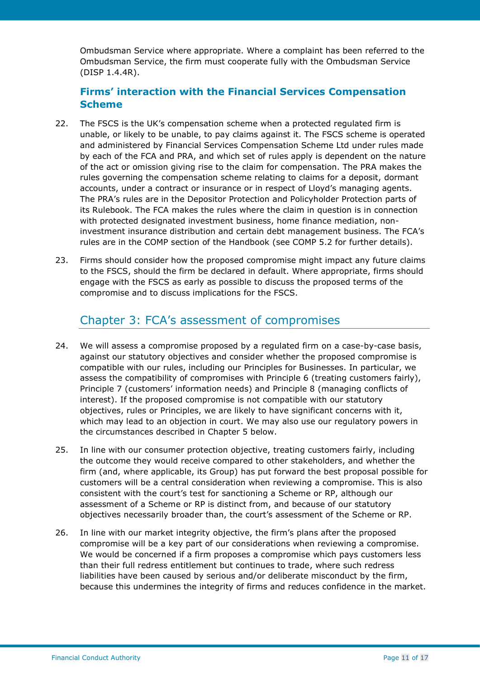Ombudsman Service where appropriate. Where a complaint has been referred to the Ombudsman Service, the firm must cooperate fully with the Ombudsman Service (DISP 1.4.4R).

### **Firms' interaction with the Financial Services Compensation Scheme**

- 22. The FSCS is the UK's compensation scheme when a protected regulated firm is unable, or likely to be unable, to pay claims against it. The FSCS scheme is operated and administered by Financial Services Compensation Scheme Ltd under rules made by each of the FCA and PRA, and which set of rules apply is dependent on the nature of the act or omission giving rise to the claim for compensation. The PRA makes the rules governing the compensation scheme relating to claims for a deposit, dormant accounts, under a contract or insurance or in respect of Lloyd's managing agents. The PRA's rules are in the Depositor Protection and Policyholder Protection parts of its Rulebook. The FCA makes the rules where the claim in question is in connection with protected designated investment business, home finance mediation, noninvestment insurance distribution and certain debt management business. The FCA's rules are in the COMP section of the Handbook (see COMP 5.2 for further details).
- 23. Firms should consider how the proposed compromise might impact any future claims to the FSCS, should the firm be declared in default. Where appropriate, firms should engage with the FSCS as early as possible to discuss the proposed terms of the compromise and to discuss implications for the FSCS.

## Chapter 3: FCA's assessment of compromises

- 24. We will assess a compromise proposed by a regulated firm on a case-by-case basis, against our statutory objectives and consider whether the proposed compromise is compatible with our rules, including our Principles for Businesses. In particular, we assess the compatibility of compromises with Principle 6 (treating customers fairly), Principle 7 (customers' information needs) and Principle 8 (managing conflicts of interest). If the proposed compromise is not compatible with our statutory objectives, rules or Principles, we are likely to have significant concerns with it, which may lead to an objection in court. We may also use our regulatory powers in the circumstances described in Chapter 5 below.
- 25. In line with our consumer protection objective, treating customers fairly, including the outcome they would receive compared to other stakeholders, and whether the firm (and, where applicable, its Group) has put forward the best proposal possible for customers will be a central consideration when reviewing a compromise. This is also consistent with the court's test for sanctioning a Scheme or RP, although our assessment of a Scheme or RP is distinct from, and because of our statutory objectives necessarily broader than, the court's assessment of the Scheme or RP.
- 26. In line with our market integrity objective, the firm's plans after the proposed compromise will be a key part of our considerations when reviewing a compromise. We would be concerned if a firm proposes a compromise which pays customers less than their full redress entitlement but continues to trade, where such redress liabilities have been caused by serious and/or deliberate misconduct by the firm, because this undermines the integrity of firms and reduces confidence in the market.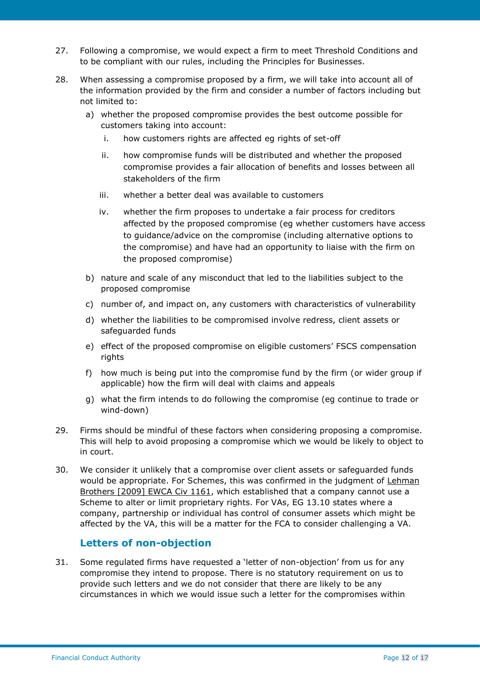- 27. Following a compromise, we would expect a firm to meet Threshold Conditions and to be compliant with our rules, including the Principles for Businesses.
- 28. When assessing a compromise proposed by a firm, we will take into account all of the information provided by the firm and consider a number of factors including but not limited to:
	- a) whether the proposed compromise provides the best outcome possible for customers taking into account:
		- i. how customers rights are affected eg rights of set-off
		- ii. how compromise funds will be distributed and whether the proposed compromise provides a fair allocation of benefits and losses between all stakeholders of the firm
		- iii. whether a better deal was available to customers
		- iv. whether the firm proposes to undertake a fair process for creditors affected by the proposed compromise (eg whether customers have access to guidance/advice on the compromise (including alternative options to the compromise) and have had an opportunity to liaise with the firm on the proposed compromise)
	- b) nature and scale of any misconduct that led to the liabilities subject to the proposed compromise
	- c) number of, and impact on, any customers with characteristics of vulnerability
	- d) whether the liabilities to be compromised involve redress, client assets or safeguarded funds
	- e) effect of the proposed compromise on eligible customers' FSCS compensation rights
	- f) how much is being put into the compromise fund by the firm (or wider group if applicable) how the firm will deal with claims and appeals
	- g) what the firm intends to do following the compromise (eg continue to trade or wind-down)
- 29. Firms should be mindful of these factors when considering proposing a compromise. This will help to avoid proposing a compromise which we would be likely to object to in court.
- 30. We consider it unlikely that a compromise over client assets or safeguarded funds would be appropriate. For Schemes, this was confirmed in the judgment of Lehman [Brothers \[2009\] EWCA Civ 1161,](https://www.bailii.org/ew/cases/EWCA/Civ/2009/1161.html) which established that a company cannot use a Scheme to alter or limit proprietary rights. For VAs, EG 13.10 states where a company, partnership or individual has control of consumer assets which might be affected by the VA, this will be a matter for the FCA to consider challenging a VA.

#### **Letters of non-objection**

31. Some regulated firms have requested a 'letter of non-objection' from us for any compromise they intend to propose. There is no statutory requirement on us to provide such letters and we do not consider that there are likely to be any circumstances in which we would issue such a letter for the compromises within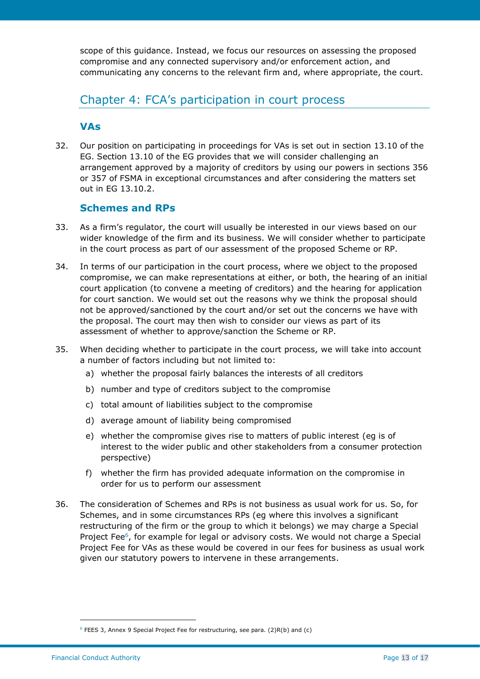scope of this guidance. Instead, we focus our resources on assessing the proposed compromise and any connected supervisory and/or enforcement action, and communicating any concerns to the relevant firm and, where appropriate, the court.

## Chapter 4: FCA's participation in court process

#### **VAs**

32. Our position on participating in proceedings for VAs is set out in section 13.10 of the EG. Section 13.10 of the EG provides that we will consider challenging an arrangement approved by a majority of creditors by using our powers in sections 356 or 357 of FSMA in exceptional circumstances and after considering the matters set out in EG 13.10.2.

#### **Schemes and RPs**

- 33. As a firm's regulator, the court will usually be interested in our views based on our wider knowledge of the firm and its business. We will consider whether to participate in the court process as part of our assessment of the proposed Scheme or RP.
- 34. In terms of our participation in the court process, where we object to the proposed compromise, we can make representations at either, or both, the hearing of an initial court application (to convene a meeting of creditors) and the hearing for application for court sanction. We would set out the reasons why we think the proposal should not be approved/sanctioned by the court and/or set out the concerns we have with the proposal. The court may then wish to consider our views as part of its assessment of whether to approve/sanction the Scheme or RP.
- 35. When deciding whether to participate in the court process, we will take into account a number of factors including but not limited to:
	- a) whether the proposal fairly balances the interests of all creditors
	- b) number and type of creditors subject to the compromise
	- c) total amount of liabilities subject to the compromise
	- d) average amount of liability being compromised
	- e) whether the compromise gives rise to matters of public interest (eg is of interest to the wider public and other stakeholders from a consumer protection perspective)
	- f) whether the firm has provided adequate information on the compromise in order for us to perform our assessment
- 36. The consideration of Schemes and RPs is not business as usual work for us. So, for Schemes, and in some circumstances RPs (eg where this involves a significant restructuring of the firm or the group to which it belongs) we may charge a Special Project Fee<sup>6</sup>, for example for legal or advisory costs. We would not charge a Special Project Fee for VAs as these would be covered in our fees for business as usual work given our statutory powers to intervene in these arrangements.

<sup>6</sup> FEES 3, Annex 9 Special Project Fee for restructuring, see para. (2)R(b) and (c)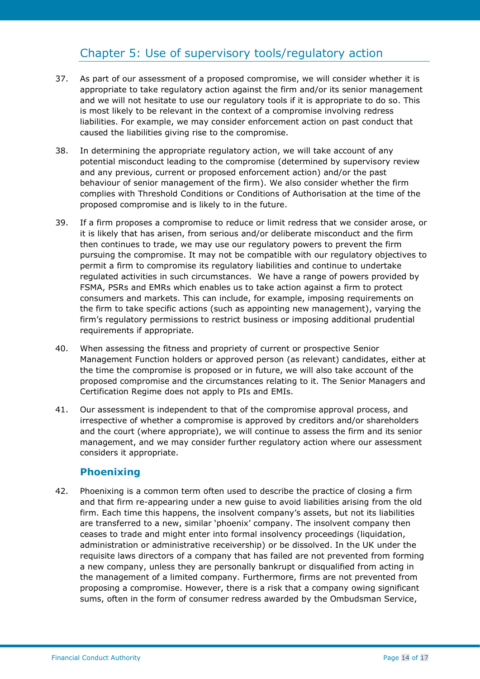## Chapter 5: Use of supervisory tools/regulatory action

- 37. As part of our assessment of a proposed compromise, we will consider whether it is appropriate to take regulatory action against the firm and/or its senior management and we will not hesitate to use our regulatory tools if it is appropriate to do so. This is most likely to be relevant in the context of a compromise involving redress liabilities. For example, we may consider enforcement action on past conduct that caused the liabilities giving rise to the compromise.
- 38. In determining the appropriate regulatory action, we will take account of any potential misconduct leading to the compromise (determined by supervisory review and any previous, current or proposed enforcement action) and/or the past behaviour of senior management of the firm). We also consider whether the firm complies with Threshold Conditions or Conditions of Authorisation at the time of the proposed compromise and is likely to in the future.
- 39. If a firm proposes a compromise to reduce or limit redress that we consider arose, or it is likely that has arisen, from serious and/or deliberate misconduct and the firm then continues to trade, we may use our regulatory powers to prevent the firm pursuing the compromise. It may not be compatible with our regulatory objectives to permit a firm to compromise its regulatory liabilities and continue to undertake regulated activities in such circumstances. We have a range of powers provided by FSMA, PSRs and EMRs which enables us to take action against a firm to protect consumers and markets. This can include, for example, imposing requirements on the firm to take specific actions (such as appointing new management), varying the firm's regulatory permissions to restrict business or imposing additional prudential requirements if appropriate.
- 40. When assessing the fitness and propriety of current or prospective Senior Management Function holders or approved person (as relevant) candidates, either at the time the compromise is proposed or in future, we will also take account of the proposed compromise and the circumstances relating to it. The Senior Managers and Certification Regime does not apply to PIs and EMIs.
- 41. Our assessment is independent to that of the compromise approval process, and irrespective of whether a compromise is approved by creditors and/or shareholders and the court (where appropriate), we will continue to assess the firm and its senior management, and we may consider further regulatory action where our assessment considers it appropriate.

#### **Phoenixing**

42. Phoenixing is a common term often used to describe the practice of closing a firm and that firm re-appearing under a new guise to avoid liabilities arising from the old firm. Each time this happens, the insolvent company's assets, but not its liabilities are transferred to a new, similar 'phoenix' company. The insolvent company then ceases to trade and might enter into formal insolvency proceedings (liquidation, administration or administrative receivership) or be dissolved. In the UK under the requisite laws directors of a company that has failed are not prevented from forming a new company, unless they are personally bankrupt or disqualified from acting in the management of a limited company. Furthermore, firms are not prevented from proposing a compromise. However, there is a risk that a company owing significant sums, often in the form of consumer redress awarded by the Ombudsman Service,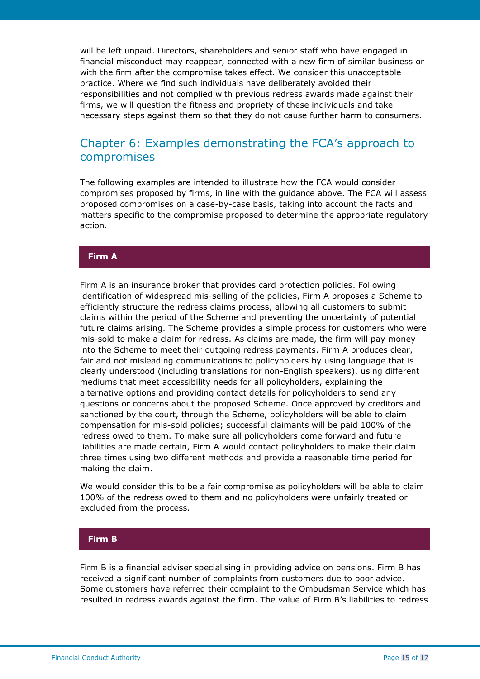will be left unpaid. Directors, shareholders and senior staff who have engaged in financial misconduct may reappear, connected with a new firm of similar business or with the firm after the compromise takes effect. We consider this unacceptable practice. Where we find such individuals have deliberately avoided their responsibilities and not complied with previous redress awards made against their firms, we will question the fitness and propriety of these individuals and take necessary steps against them so that they do not cause further harm to consumers.

## Chapter 6: Examples demonstrating the FCA's approach to compromises

The following examples are intended to illustrate how the FCA would consider compromises proposed by firms, in line with the guidance above. The FCA will assess proposed compromises on a case-by-case basis, taking into account the facts and matters specific to the compromise proposed to determine the appropriate regulatory action.

#### **Firm A**

Firm A is an insurance broker that provides card protection policies. Following identification of widespread mis-selling of the policies, Firm A proposes a Scheme to efficiently structure the redress claims process, allowing all customers to submit claims within the period of the Scheme and preventing the uncertainty of potential future claims arising. The Scheme provides a simple process for customers who were mis-sold to make a claim for redress. As claims are made, the firm will pay money into the Scheme to meet their outgoing redress payments. Firm A produces clear, fair and not misleading communications to policyholders by using language that is clearly understood (including translations for non-English speakers), using different mediums that meet accessibility needs for all policyholders, explaining the alternative options and providing contact details for policyholders to send any questions or concerns about the proposed Scheme. Once approved by creditors and sanctioned by the court, through the Scheme, policyholders will be able to claim compensation for mis-sold policies; successful claimants will be paid 100% of the redress owed to them. To make sure all policyholders come forward and future liabilities are made certain, Firm A would contact policyholders to make their claim three times using two different methods and provide a reasonable time period for making the claim.

We would consider this to be a fair compromise as policyholders will be able to claim 100% of the redress owed to them and no policyholders were unfairly treated or excluded from the process.

#### **Firm B**

Firm B is a financial adviser specialising in providing advice on pensions. Firm B has received a significant number of complaints from customers due to poor advice. Some customers have referred their complaint to the Ombudsman Service which has resulted in redress awards against the firm. The value of Firm B's liabilities to redress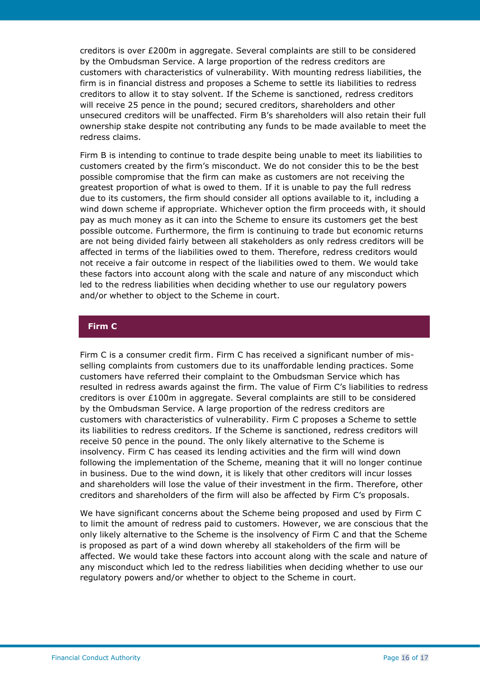creditors is over £200m in aggregate. Several complaints are still to be considered by the Ombudsman Service. A large proportion of the redress creditors are customers with characteristics of vulnerability. With mounting redress liabilities, the firm is in financial distress and proposes a Scheme to settle its liabilities to redress creditors to allow it to stay solvent. If the Scheme is sanctioned, redress creditors will receive 25 pence in the pound; secured creditors, shareholders and other unsecured creditors will be unaffected. Firm B's shareholders will also retain their full ownership stake despite not contributing any funds to be made available to meet the redress claims.

Firm B is intending to continue to trade despite being unable to meet its liabilities to customers created by the firm's misconduct. We do not consider this to be the best possible compromise that the firm can make as customers are not receiving the greatest proportion of what is owed to them. If it is unable to pay the full redress due to its customers, the firm should consider all options available to it, including a wind down scheme if appropriate. Whichever option the firm proceeds with, it should pay as much money as it can into the Scheme to ensure its customers get the best possible outcome. Furthermore, the firm is continuing to trade but economic returns are not being divided fairly between all stakeholders as only redress creditors will be affected in terms of the liabilities owed to them. Therefore, redress creditors would not receive a fair outcome in respect of the liabilities owed to them. We would take these factors into account along with the scale and nature of any misconduct which led to the redress liabilities when deciding whether to use our regulatory powers and/or whether to object to the Scheme in court.

#### **Firm C**

Firm C is a consumer credit firm. Firm C has received a significant number of misselling complaints from customers due to its unaffordable lending practices. Some customers have referred their complaint to the Ombudsman Service which has resulted in redress awards against the firm. The value of Firm C's liabilities to redress creditors is over £100m in aggregate. Several complaints are still to be considered by the Ombudsman Service. A large proportion of the redress creditors are customers with characteristics of vulnerability. Firm C proposes a Scheme to settle its liabilities to redress creditors. If the Scheme is sanctioned, redress creditors will receive 50 pence in the pound. The only likely alternative to the Scheme is insolvency. Firm C has ceased its lending activities and the firm will wind down following the implementation of the Scheme, meaning that it will no longer continue in business. Due to the wind down, it is likely that other creditors will incur losses and shareholders will lose the value of their investment in the firm. Therefore, other creditors and shareholders of the firm will also be affected by Firm C's proposals.

We have significant concerns about the Scheme being proposed and used by Firm C to limit the amount of redress paid to customers. However, we are conscious that the only likely alternative to the Scheme is the insolvency of Firm C and that the Scheme is proposed as part of a wind down whereby all stakeholders of the firm will be affected. We would take these factors into account along with the scale and nature of any misconduct which led to the redress liabilities when deciding whether to use our regulatory powers and/or whether to object to the Scheme in court.